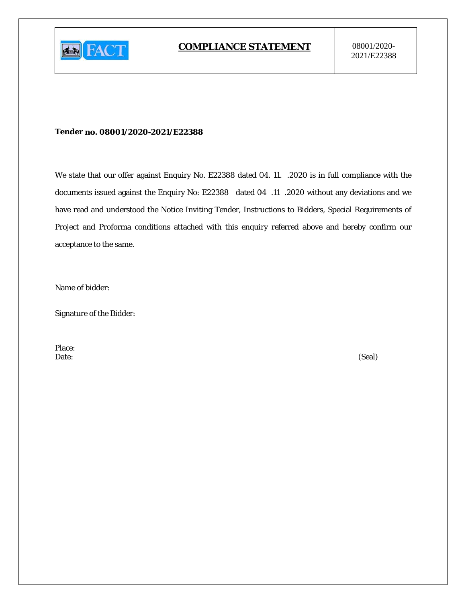

#### Tender no. 08001/2020-2021/E22388

We state that our offer against Enquiry No. E22388 dated 04. 11. .2020 is in full compliance with the documents issued against the Enquiry No: E22388 dated 04 .11 .2020 without any deviations and we have read and understood the Notice Inviting Tender, Instructions to Bidders, Special Requirements of Project and Proforma conditions attached with this enquiry referred above and hereby confirm our acceptance to the same.

Name of bidder:

**Signature of the Bidder:** 

Place: Date:

(Seal)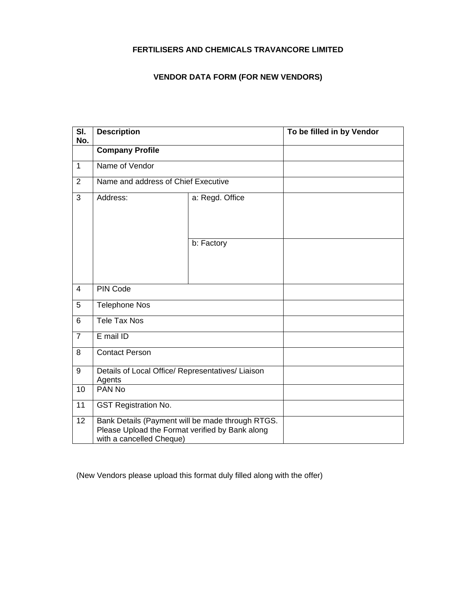## **FERTILISERS AND CHEMICALS TRAVANCORE LIMITED**

# **VENDOR DATA FORM (FOR NEW VENDORS)**

| SI.<br>No.     | <b>Description</b>                                                                                                              |                 | To be filled in by Vendor |
|----------------|---------------------------------------------------------------------------------------------------------------------------------|-----------------|---------------------------|
|                | <b>Company Profile</b>                                                                                                          |                 |                           |
| $\mathbf{1}$   | Name of Vendor                                                                                                                  |                 |                           |
| $\overline{2}$ | Name and address of Chief Executive                                                                                             |                 |                           |
| 3              | Address:                                                                                                                        | a: Regd. Office |                           |
|                |                                                                                                                                 | b: Factory      |                           |
| $\overline{4}$ | PIN Code                                                                                                                        |                 |                           |
| 5              | <b>Telephone Nos</b>                                                                                                            |                 |                           |
| 6              | Tele Tax Nos                                                                                                                    |                 |                           |
| $\overline{7}$ | E mail ID                                                                                                                       |                 |                           |
| 8              | <b>Contact Person</b>                                                                                                           |                 |                           |
| 9              | Details of Local Office/ Representatives/ Liaison<br>Agents                                                                     |                 |                           |
| 10             | PAN No                                                                                                                          |                 |                           |
| 11             | <b>GST Registration No.</b>                                                                                                     |                 |                           |
| 12             | Bank Details (Payment will be made through RTGS.<br>Please Upload the Format verified by Bank along<br>with a cancelled Cheque) |                 |                           |

(New Vendors please upload this format duly filled along with the offer)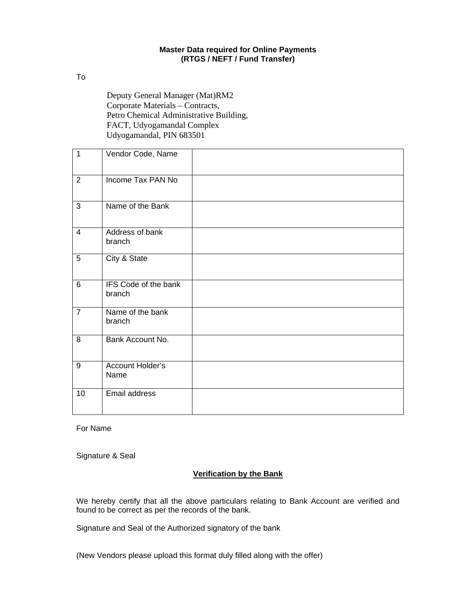#### **Master Data required for Online Payments (RTGS / NEFT / Fund Transfer)**

To

Deputy General Manager (Mat)RM2 Corporate Materials – Contracts, Petro Chemical Administrative Building, FACT, Udyogamandal Complex Udyogamandal, PIN 683501

| $\overline{1}$ | Vendor Code, Name              |  |
|----------------|--------------------------------|--|
| $\overline{2}$ | Income Tax PAN No              |  |
| 3              | Name of the Bank               |  |
| $\overline{4}$ | Address of bank<br>branch      |  |
| 5              | City & State                   |  |
| $6\phantom{1}$ | IFS Code of the bank<br>branch |  |
| $\overline{7}$ | Name of the bank<br>branch     |  |
| 8              | Bank Account No.               |  |
| 9              | Account Holder's<br>Name       |  |
| 10             | Email address                  |  |

For Name

Signature & Seal

### **Verification by the Bank**

We hereby certify that all the above particulars relating to Bank Account are verified and found to be correct as per the records of the bank.

Signature and Seal of the Authorized signatory of the bank

(New Vendors please upload this format duly filled along with the offer)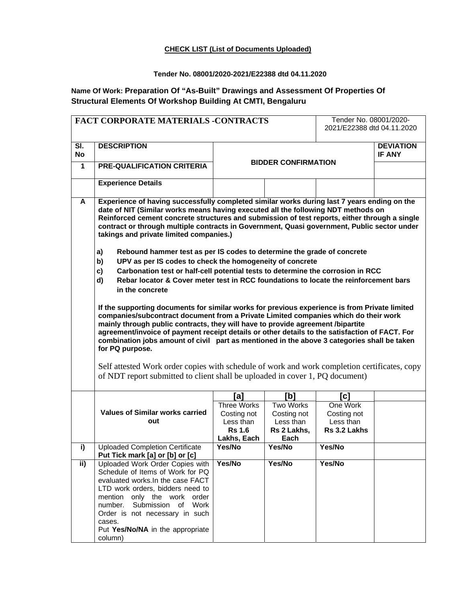#### **CHECK LIST (List of Documents Uploaded)**

### **Tender No. 08001/2020-2021/E22388 dtd 04.11.2020**

# **Name Of Work: Preparation Of "As-Built" Drawings and Assessment Of Properties Of Structural Elements Of Workshop Building At CMTI, Bengaluru**

|                  | FACT CORPORATE MATERIALS -CONTRACTS                                                                                                                                               | Tender No. 08001/2020-       |                     |                            |                            |  |
|------------------|-----------------------------------------------------------------------------------------------------------------------------------------------------------------------------------|------------------------------|---------------------|----------------------------|----------------------------|--|
|                  |                                                                                                                                                                                   |                              |                     | 2021/E22388 dtd 04.11.2020 |                            |  |
|                  |                                                                                                                                                                                   |                              |                     |                            |                            |  |
| SI.<br><b>No</b> | <b>DESCRIPTION</b>                                                                                                                                                                |                              |                     |                            | <b>DEVIATION</b><br>IF ANY |  |
| 1                | <b>PRE-QUALIFICATION CRITERIA</b>                                                                                                                                                 | <b>BIDDER CONFIRMATION</b>   |                     |                            |                            |  |
|                  |                                                                                                                                                                                   |                              |                     |                            |                            |  |
|                  | <b>Experience Details</b>                                                                                                                                                         |                              |                     |                            |                            |  |
| A                | Experience of having successfully completed similar works during last 7 years ending on the                                                                                       |                              |                     |                            |                            |  |
|                  | date of NIT (Similar works means having executed all the following NDT methods on                                                                                                 |                              |                     |                            |                            |  |
|                  | Reinforced cement concrete structures and submission of test reports, either through a single                                                                                     |                              |                     |                            |                            |  |
|                  | contract or through multiple contracts in Government, Quasi government, Public sector under                                                                                       |                              |                     |                            |                            |  |
|                  | takings and private limited companies.)                                                                                                                                           |                              |                     |                            |                            |  |
|                  | Rebound hammer test as per IS codes to determine the grade of concrete<br>a)                                                                                                      |                              |                     |                            |                            |  |
|                  | UPV as per IS codes to check the homogeneity of concrete<br>b)                                                                                                                    |                              |                     |                            |                            |  |
|                  | Carbonation test or half-cell potential tests to determine the corrosion in RCC<br>c)                                                                                             |                              |                     |                            |                            |  |
|                  | Rebar locator & Cover meter test in RCC foundations to locate the reinforcement bars<br>d)                                                                                        |                              |                     |                            |                            |  |
|                  | in the concrete                                                                                                                                                                   |                              |                     |                            |                            |  |
|                  |                                                                                                                                                                                   |                              |                     |                            |                            |  |
|                  | If the supporting documents for similar works for previous experience is from Private limited                                                                                     |                              |                     |                            |                            |  |
|                  | companies/subcontract document from a Private Limited companies which do their work                                                                                               |                              |                     |                            |                            |  |
|                  | mainly through public contracts, they will have to provide agreement /bipartite<br>agreement/invoice of payment receipt details or other details to the satisfaction of FACT. For |                              |                     |                            |                            |  |
|                  | combination jobs amount of civil part as mentioned in the above 3 categories shall be taken                                                                                       |                              |                     |                            |                            |  |
|                  | for PQ purpose.                                                                                                                                                                   |                              |                     |                            |                            |  |
|                  |                                                                                                                                                                                   |                              |                     |                            |                            |  |
|                  | Self attested Work order copies with schedule of work and work completion certificates, copy                                                                                      |                              |                     |                            |                            |  |
|                  | of NDT report submitted to client shall be uploaded in cover 1, PQ document)                                                                                                      |                              |                     |                            |                            |  |
|                  |                                                                                                                                                                                   | [a]                          | [b]                 | [c]                        |                            |  |
|                  |                                                                                                                                                                                   | <b>Three Works</b>           | Two Works           | One Work                   |                            |  |
|                  | <b>Values of Similar works carried</b>                                                                                                                                            | Costing not                  | Costing not         | Costing not                |                            |  |
|                  | out                                                                                                                                                                               | Less than                    | Less than           | Less than                  |                            |  |
|                  |                                                                                                                                                                                   | <b>Rs 1.6</b><br>Lakhs, Each | Rs 2 Lakhs,<br>Each | Rs 3.2 Lakhs               |                            |  |
| i)               | <b>Uploaded Completion Certificate</b>                                                                                                                                            | Yes/No                       | Yes/No              | Yes/No                     |                            |  |
|                  | Put Tick mark [a] or [b] or [c]                                                                                                                                                   |                              |                     |                            |                            |  |
|                  |                                                                                                                                                                                   |                              |                     |                            |                            |  |
| ii)              | Uploaded Work Order Copies with                                                                                                                                                   | Yes/No                       | Yes/No              | Yes/No                     |                            |  |
|                  | Schedule of Items of Work for PQ                                                                                                                                                  |                              |                     |                            |                            |  |
|                  | evaluated works. In the case FACT                                                                                                                                                 |                              |                     |                            |                            |  |
|                  | LTD work orders, bidders need to                                                                                                                                                  |                              |                     |                            |                            |  |
|                  | mention only the work order<br>number.<br>Submission<br>Work<br>of                                                                                                                |                              |                     |                            |                            |  |
|                  | Order is not necessary in such                                                                                                                                                    |                              |                     |                            |                            |  |
|                  | cases.<br>Put Yes/No/NA in the appropriate                                                                                                                                        |                              |                     |                            |                            |  |